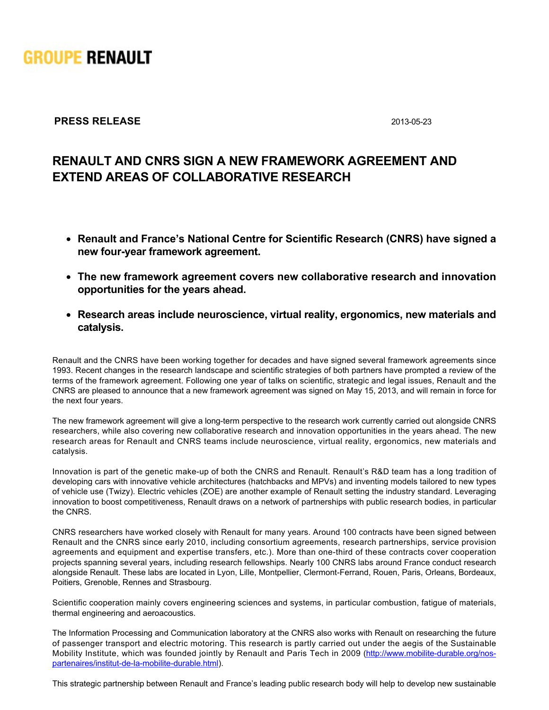

## **PRESS RELEASE** 2013-05-23

## **RENAULT AND CNRS SIGN A NEW FRAMEWORK AGREEMENT AND EXTEND AREAS OF COLLABORATIVE RESEARCH**

- **Renault and France's National Centre for Scientific Research (CNRS) have signed a new fouryear framework agreement.**
- **The new framework agreement covers new collaborative research and innovation opportunities for the years ahead.**
- **Research areas include neuroscience, virtual reality, ergonomics, new materials and catalysis.**

Renault and the CNRS have been working together for decades and have signed several framework agreements since 1993. Recent changes in the research landscape and scientific strategies of both partners have prompted a review of the terms of the framework agreement. Following one year of talks on scientific, strategic and legal issues, Renault and the CNRS are pleased to announce that a new framework agreement was signed on May 15, 2013, and will remain in force for the next four years.

The new framework agreement will give a long-term perspective to the research work currently carried out alongside CNRS researchers, while also covering new collaborative research and innovation opportunities in the years ahead. The new research areas for Renault and CNRS teams include neuroscience, virtual reality, ergonomics, new materials and catalysis.

Innovation is part of the genetic make-up of both the CNRS and Renault. Renault's R&D team has a long tradition of developing cars with innovative vehicle architectures (hatchbacks and MPVs) and inventing models tailored to new types of vehicle use (Twizy). Electric vehicles (ZOE) are another example of Renault setting the industry standard. Leveraging innovation to boost competitiveness, Renault draws on a network of partnerships with public research bodies, in particular the CNRS.

CNRS researchers have worked closely with Renault for many years. Around 100 contracts have been signed between Renault and the CNRS since early 2010, including consortium agreements, research partnerships, service provision agreements and equipment and expertise transfers, etc.). More than one-third of these contracts cover cooperation projects spanning several years, including research fellowships. Nearly 100 CNRS labs around France conduct research alongside Renault. These labs are located in Lyon, Lille, Montpellier, Clermont-Ferrand, Rouen, Paris, Orleans, Bordeaux, Poitiers, Grenoble, Rennes and Strasbourg.

Scientific cooperation mainly covers engineering sciences and systems, in particular combustion, fatigue of materials, thermal engineering and aeroacoustics.

The Information Processing and Communication laboratory at the CNRS also works with Renault on researching the future of passenger transport and electric motoring. This research is partly carried out under the aegis of the Sustainable Mobility Institute, which was founded jointly by Renault and Paris Tech in 2009 (http://www.mobilite-durable.org/nospartenaires/institut-de-la-mobilite-durable.html).

This strategic partnership between Renault and France's leading public research body will help to develop new sustainable